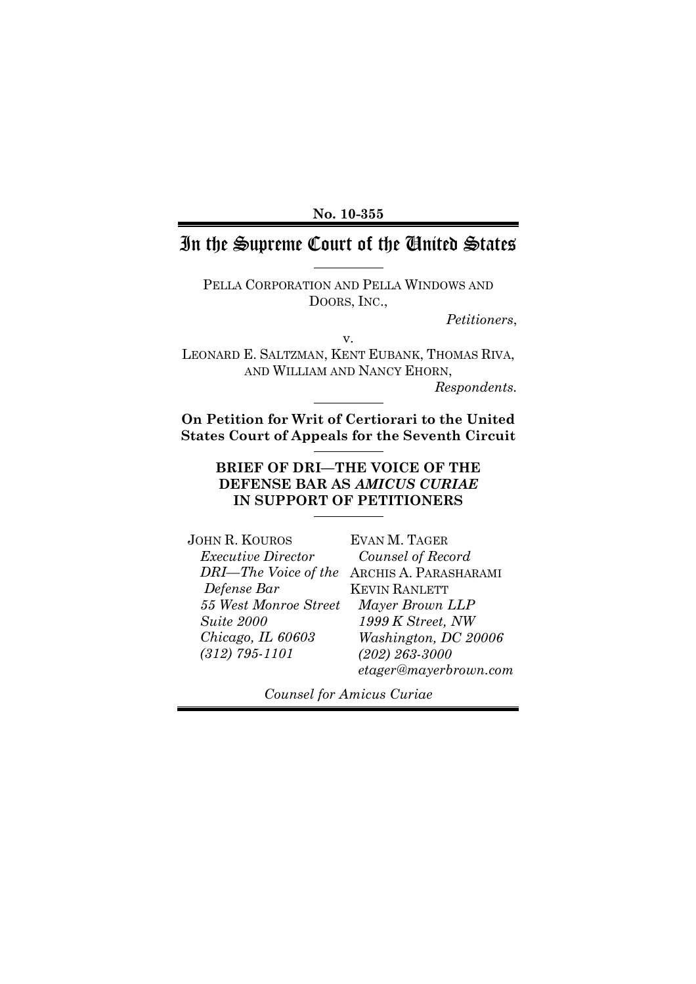**No. 10-355**

# In the Supreme Court of the United States

PELLA CORPORATION AND PELLA WINDOWS AND DOORS, INC.,

*Petitioners*,

v. LEONARD E. SALTZMAN, KENT EUBANK, THOMAS RIVA, AND WILLIAM AND NANCY EHORN,

*Respondents.*

**On Petition for Writ of Certiorari to the United States Court of Appeals for the Seventh Circuit**

> **BRIEF OF DRI—THE VOICE OF THE DEFENSE BAR AS** *AMICUS CURIAE* **IN SUPPORT OF PETITIONERS**

JOHN R. KOUROS *Executive Director DRI—The Voice of the* ARCHIS A. PARASHARAMI *Defense Bar 55 West Monroe Street Suite 2000 Chicago, IL 60603 (312) 795-1101*

EVAN M. TAGER *Counsel of Record* KEVIN RANLETT *Mayer Brown LLP 1999 K Street, NW Washington, DC 20006 (202) 263-3000 etager@mayerbrown.com*

*Counsel for Amicus Curiae*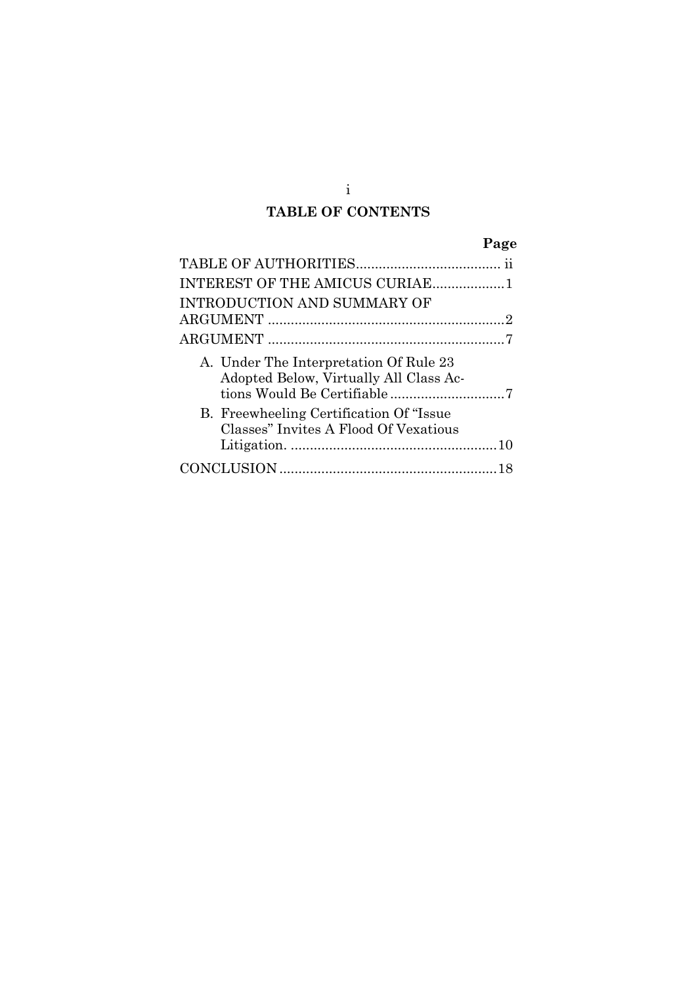# **TABLE OF CONTENTS**

# **Page**

| INTEREST OF THE AMICUS CURIAE1                                                    |  |
|-----------------------------------------------------------------------------------|--|
| INTRODUCTION AND SUMMARY OF                                                       |  |
|                                                                                   |  |
|                                                                                   |  |
| A. Under The Interpretation Of Rule 23<br>Adopted Below, Virtually All Class Ac-  |  |
| B. Freewheeling Certification Of "Issue"<br>Classes" Invites A Flood Of Vexatious |  |
|                                                                                   |  |
|                                                                                   |  |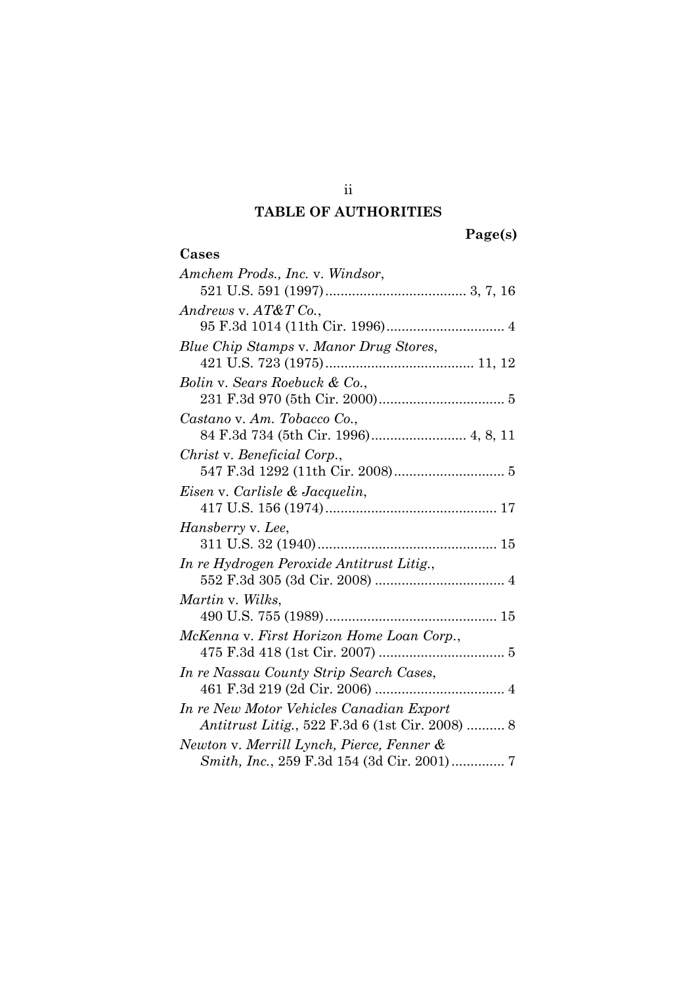# **TABLE OF AUTHORITIES**

| Cases                                                                                       |
|---------------------------------------------------------------------------------------------|
| Amchem Prods., Inc. v. Windsor,                                                             |
|                                                                                             |
| Andrews v. $AT&T$ Co.,                                                                      |
|                                                                                             |
| Blue Chip Stamps v. Manor Drug Stores,                                                      |
|                                                                                             |
| Bolin v. Sears Roebuck & Co.,                                                               |
|                                                                                             |
| Castano v. Am. Tobacco Co.,                                                                 |
| 84 F.3d 734 (5th Cir. 1996) 4, 8, 11                                                        |
| Christ v. Beneficial Corp.,                                                                 |
|                                                                                             |
| Eisen v. Carlisle & Jacquelin,                                                              |
|                                                                                             |
| Hansberry v. Lee,                                                                           |
|                                                                                             |
| In re Hydrogen Peroxide Antitrust Litig.,                                                   |
|                                                                                             |
| Martin v. Wilks,                                                                            |
|                                                                                             |
| McKenna v. First Horizon Home Loan Corp.,                                                   |
|                                                                                             |
| In re Nassau County Strip Search Cases,                                                     |
|                                                                                             |
| In re New Motor Vehicles Canadian Export<br>Antitrust Litig., 522 F.3d 6 (1st Cir. 2008)  8 |
|                                                                                             |
| Newton v. Merrill Lynch, Pierce, Fenner &                                                   |

ii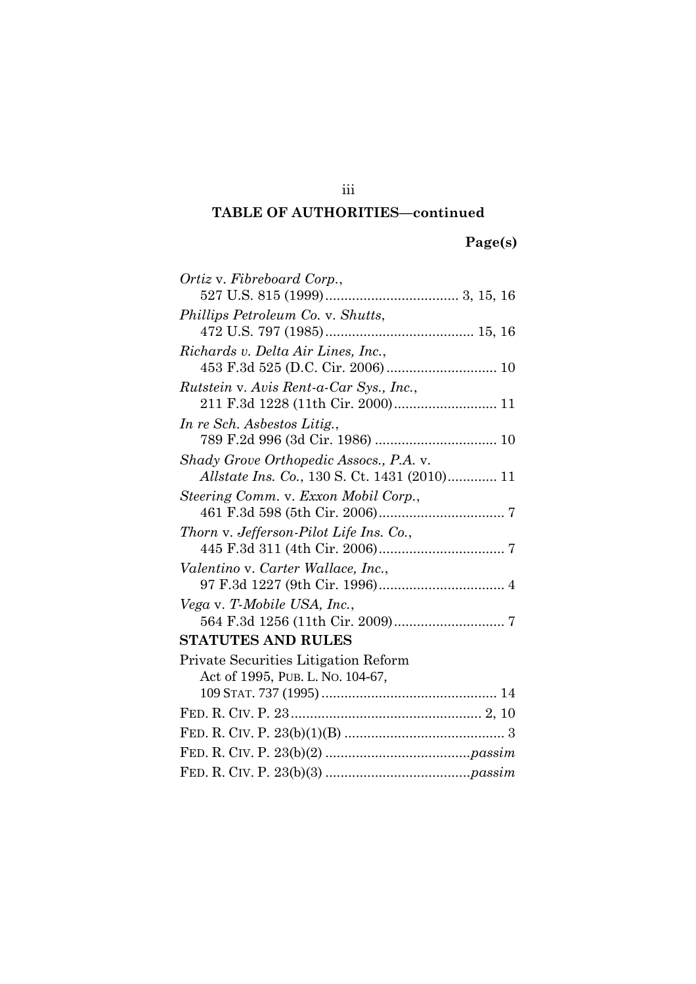| Ortiz v. Fibreboard Corp.,              |
|-----------------------------------------|
|                                         |
| Phillips Petroleum Co. v. Shutts,       |
|                                         |
| Richards v. Delta Air Lines, Inc.,      |
|                                         |
| Rutstein v. Avis Rent-a-Car Sys., Inc., |
|                                         |
| In re Sch. Asbestos Litig.,             |
|                                         |
| Shady Grove Orthopedic Assocs., P.A. v. |
|                                         |
| Steering Comm. v. Exxon Mobil Corp.,    |
|                                         |
| Thorn v. Jefferson-Pilot Life Ins. Co., |
|                                         |
| Valentino v. Carter Wallace, Inc.,      |
|                                         |
| Vega v. T-Mobile USA, Inc.,             |
|                                         |
| <b>STATUTES AND RULES</b>               |
| Private Securities Litigation Reform    |
| Act of 1995, PUB. L. No. 104-67,        |
|                                         |
|                                         |
|                                         |
|                                         |
|                                         |

iii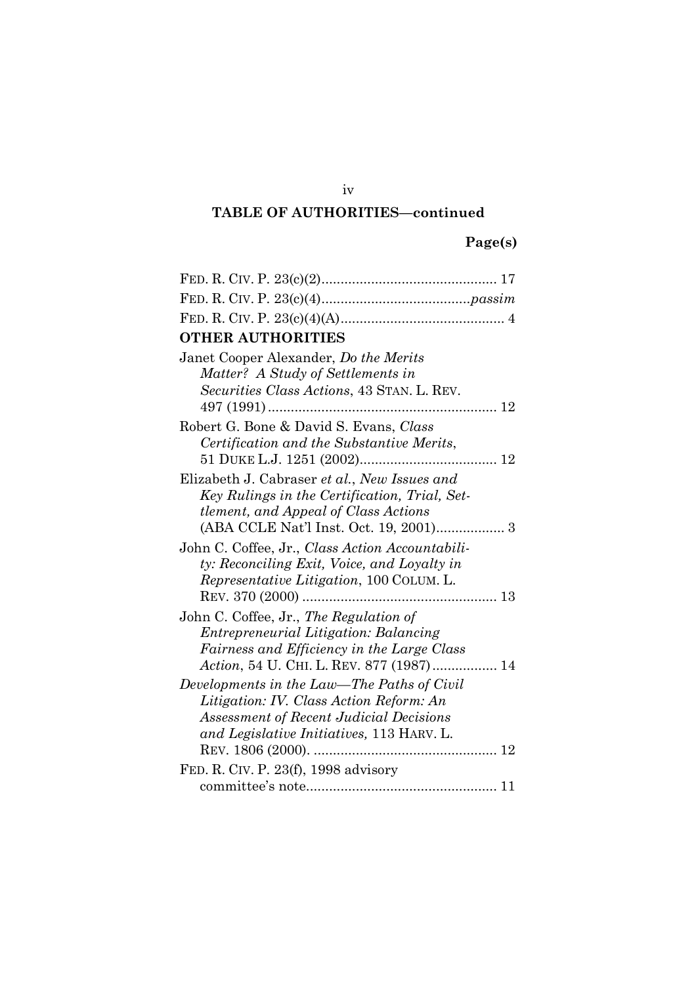# **Page(s)**

| <b>OTHER AUTHORITIES</b>                                                                                                                                                             |  |  |
|--------------------------------------------------------------------------------------------------------------------------------------------------------------------------------------|--|--|
| Janet Cooper Alexander, Do the Merits<br>Matter? A Study of Settlements in<br>Securities Class Actions, 43 STAN. L. REV.                                                             |  |  |
| Robert G. Bone & David S. Evans, Class<br>Certification and the Substantive Merits,                                                                                                  |  |  |
| Elizabeth J. Cabraser et al., New Issues and<br>Key Rulings in the Certification, Trial, Set-<br><i>tlement, and Appeal of Class Actions</i>                                         |  |  |
| John C. Coffee, Jr., Class Action Accountabili-<br>ty: Reconciling Exit, Voice, and Loyalty in<br><i>Representative Litigation</i> , 100 COLUM. L.                                   |  |  |
| John C. Coffee, Jr., The Regulation of<br><i>Entrepreneurial Litigation: Balancing</i><br>Fairness and Efficiency in the Large Class<br>Action, 54 U. CHI. L. REV. 877 (1987) 14     |  |  |
| Developments in the Law—The Paths of Civil<br>Litigation: IV. Class Action Reform: An<br><b>Assessment of Recent Judicial Decisions</b><br>and Legislative Initiatives, 113 HARV. L. |  |  |
| FED. R. CIV. P. 23(f), 1998 advisory                                                                                                                                                 |  |  |
|                                                                                                                                                                                      |  |  |

iv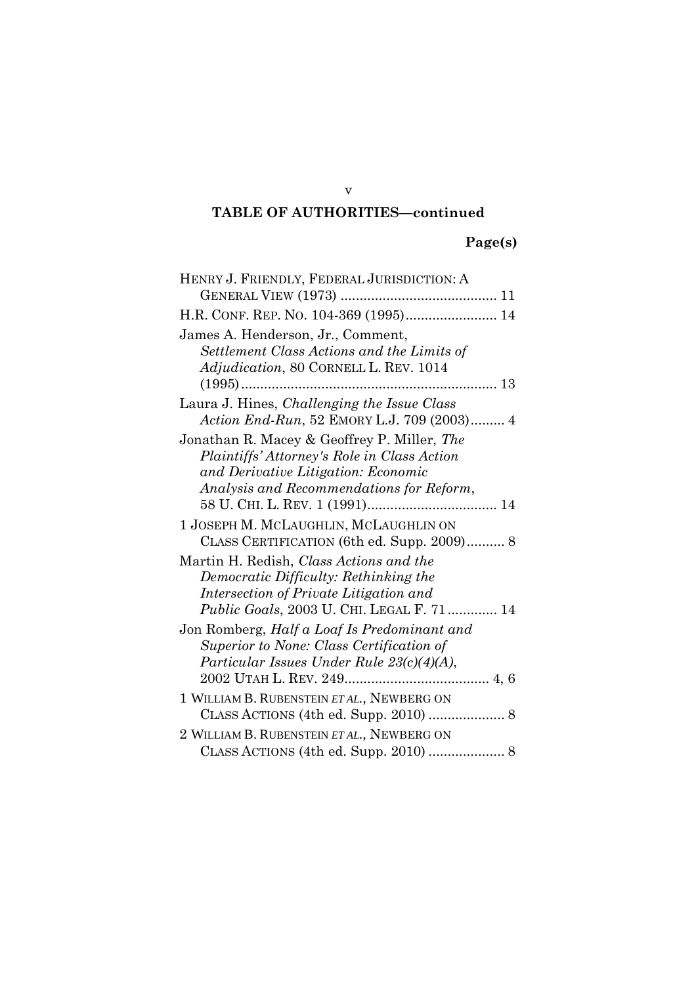v

# **Page(s)**

| HENRY J. FRIENDLY, FEDERAL JURISDICTION: A                                      |
|---------------------------------------------------------------------------------|
|                                                                                 |
| H.R. CONF. REP. NO. 104-369 (1995) 14                                           |
| James A. Henderson, Jr., Comment,                                               |
| Settlement Class Actions and the Limits of                                      |
| Adjudication, 80 CORNELL L. REV. 1014                                           |
|                                                                                 |
| Laura J. Hines, Challenging the Issue Class                                     |
| Action End-Run, 52 EMORY L.J. 709 (2003) 4                                      |
| Jonathan R. Macey & Geoffrey P. Miller, The                                     |
| Plaintiffs' Attorney's Role in Class Action                                     |
| and Derivative Litigation: Economic                                             |
| Analysis and Recommendations for Reform,                                        |
|                                                                                 |
| 1 JOSEPH M. MCLAUGHLIN, MCLAUGHLIN ON                                           |
| CLASS CERTIFICATION (6th ed. Supp. 2009) 8                                      |
| Martin H. Redish, Class Actions and the                                         |
| Democratic Difficulty: Rethinking the<br>Intersection of Private Litigation and |
| Public Goals, 2003 U. CHI. LEGAL F. 71 14                                       |
| Jon Romberg, Half a Loaf Is Predominant and                                     |
| Superior to None: Class Certification of                                        |
| Particular Issues Under Rule 23(c)(4)(A),                                       |
|                                                                                 |
| 1 WILLIAM B. RUBENSTEIN ET AL., NEWBERG ON                                      |
|                                                                                 |
| 2 WILLIAM B. RUBENSTEIN ET AL., NEWBERG ON                                      |
|                                                                                 |
|                                                                                 |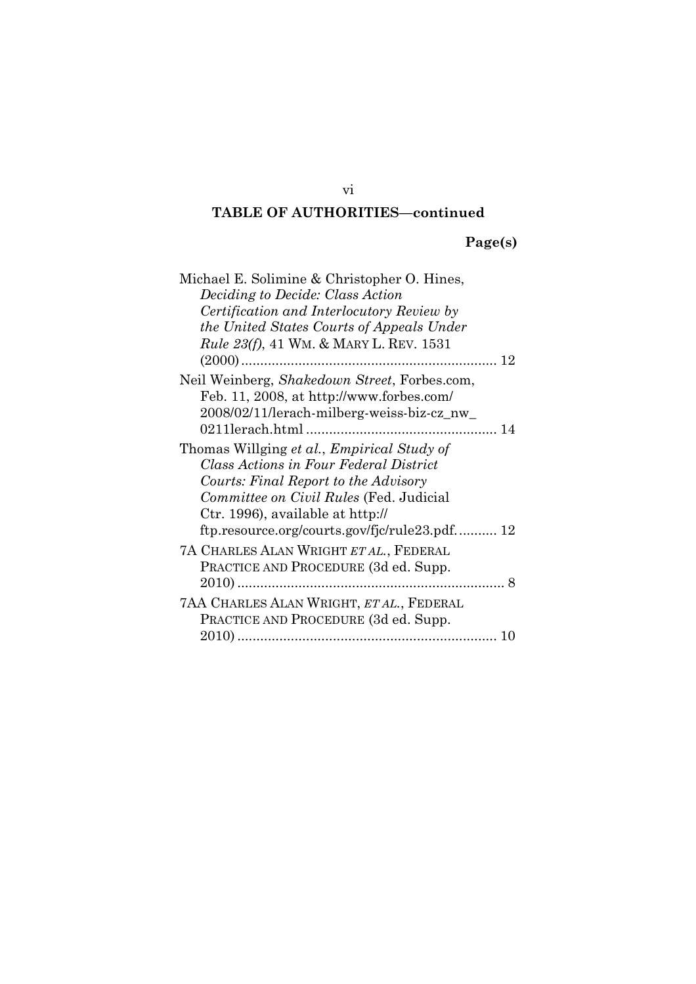# **Page(s)**

| Michael E. Solimine & Christopher O. Hines,     |
|-------------------------------------------------|
| <i>Deciding to Decide: Class Action</i>         |
| Certification and Interlocutory Review by       |
| the United States Courts of Appeals Under       |
| <i>Rule 23(f)</i> , 41 WM. & MARY L. REV. 1531  |
|                                                 |
| Neil Weinberg, Shakedown Street, Forbes.com,    |
| Feb. 11, 2008, at http://www.forbes.com/        |
| 2008/02/11/lerach-milberg-weiss-biz-cz_nw_      |
|                                                 |
| Thomas Willging et al., Empirical Study of      |
| Class Actions in Four Federal District          |
| Courts: Final Report to the Advisory            |
| Committee on Civil Rules (Fed. Judicial         |
| Ctr. 1996), available at http://                |
| ftp.resource.org/courts.gov/fjc/rule23.pdf 12   |
| 7A CHARLES ALAN WRIGHT ET AL., FEDERAL          |
| PRACTICE AND PROCEDURE (3d ed. Supp.            |
|                                                 |
| <b>7AA CHARLES ALAN WRIGHT, ET AL., FEDERAL</b> |
| PRACTICE AND PROCEDURE (3d ed. Supp.            |
|                                                 |
|                                                 |

vi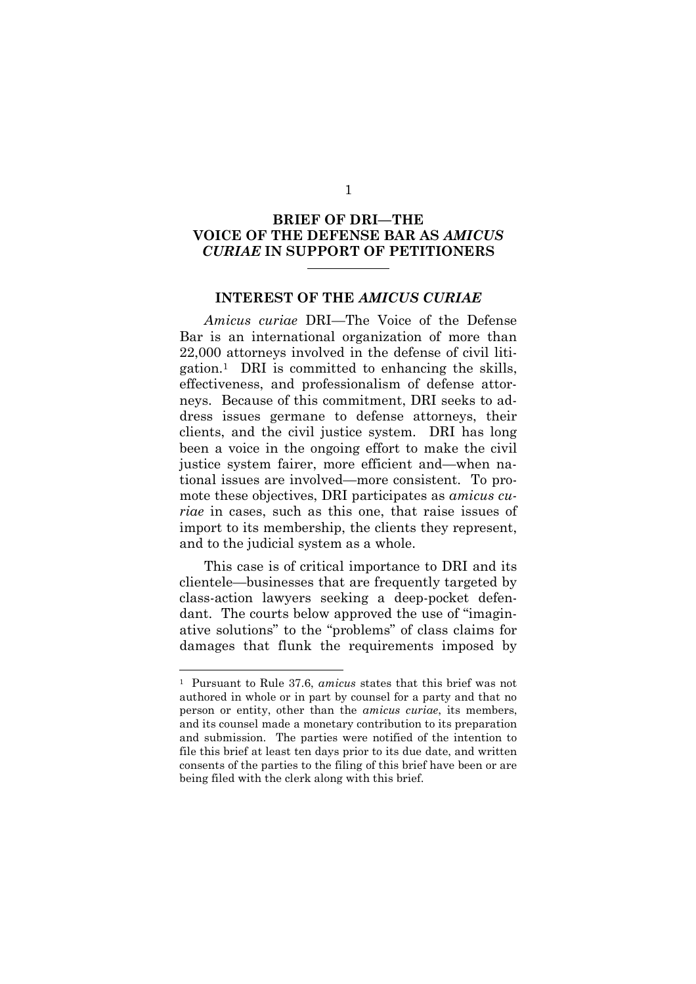## **BRIEF OF DRI—THE VOICE OF THE DEFENSE BAR AS** *AMICUS CURIAE* **IN SUPPORT OF PETITIONERS**

#### **INTEREST OF THE** *AMICUS CURIAE*

*Amicus curiae* DRI—The Voice of the Defense Bar is an international organization of more than 22,000 attorneys involved in the defense of civil litigation.<sup>1</sup> DRI is committed to enhancing the skills, effectiveness, and professionalism of defense attorneys. Because of this commitment, DRI seeks to address issues germane to defense attorneys, their clients, and the civil justice system. DRI has long been a voice in the ongoing effort to make the civil justice system fairer, more efficient and—when national issues are involved—more consistent. To promote these objectives, DRI participates as *amicus curiae* in cases, such as this one, that raise issues of import to its membership, the clients they represent, and to the judicial system as a whole.

This case is of critical importance to DRI and its clientele—businesses that are frequently targeted by class-action lawyers seeking a deep-pocket defendant. The courts below approved the use of "imaginative solutions" to the "problems" of class claims for damages that flunk the requirements imposed by

<sup>1</sup> Pursuant to Rule 37.6, *amicus* states that this brief was not authored in whole or in part by counsel for a party and that no person or entity, other than the *amicus curiae*, its members, and its counsel made a monetary contribution to its preparation and submission. The parties were notified of the intention to file this brief at least ten days prior to its due date, and written consents of the parties to the filing of this brief have been or are being filed with the clerk along with this brief.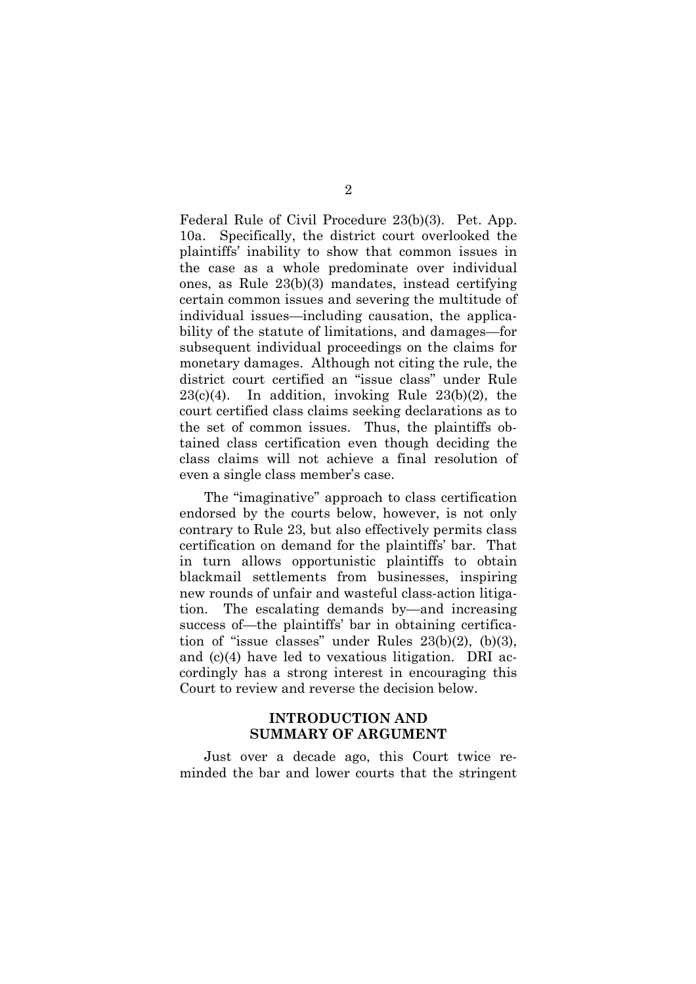Federal Rule of Civil Procedure 23(b)(3). Pet. App. 10a. Specifically, the district court overlooked the plaintiffs' inability to show that common issues in the case as a whole predominate over individual ones, as Rule 23(b)(3) mandates, instead certifying certain common issues and severing the multitude of individual issues—including causation, the applicability of the statute of limitations, and damages—for subsequent individual proceedings on the claims for monetary damages. Although not citing the rule, the district court certified an "issue class" under Rule  $23(c)(4)$ . In addition, invoking Rule  $23(b)(2)$ , the court certified class claims seeking declarations as to the set of common issues. Thus, the plaintiffs obtained class certification even though deciding the class claims will not achieve a final resolution of even a single class member's case.

The "imaginative" approach to class certification endorsed by the courts below, however, is not only contrary to Rule 23, but also effectively permits class certification on demand for the plaintiffs' bar. That in turn allows opportunistic plaintiffs to obtain blackmail settlements from businesses, inspiring new rounds of unfair and wasteful class-action litigation. The escalating demands by—and increasing success of—the plaintiffs' bar in obtaining certification of "issue classes" under Rules 23(b)(2), (b)(3), and (c)(4) have led to vexatious litigation. DRI accordingly has a strong interest in encouraging this Court to review and reverse the decision below.

### **INTRODUCTION AND SUMMARY OF ARGUMENT**

Just over a decade ago, this Court twice reminded the bar and lower courts that the stringent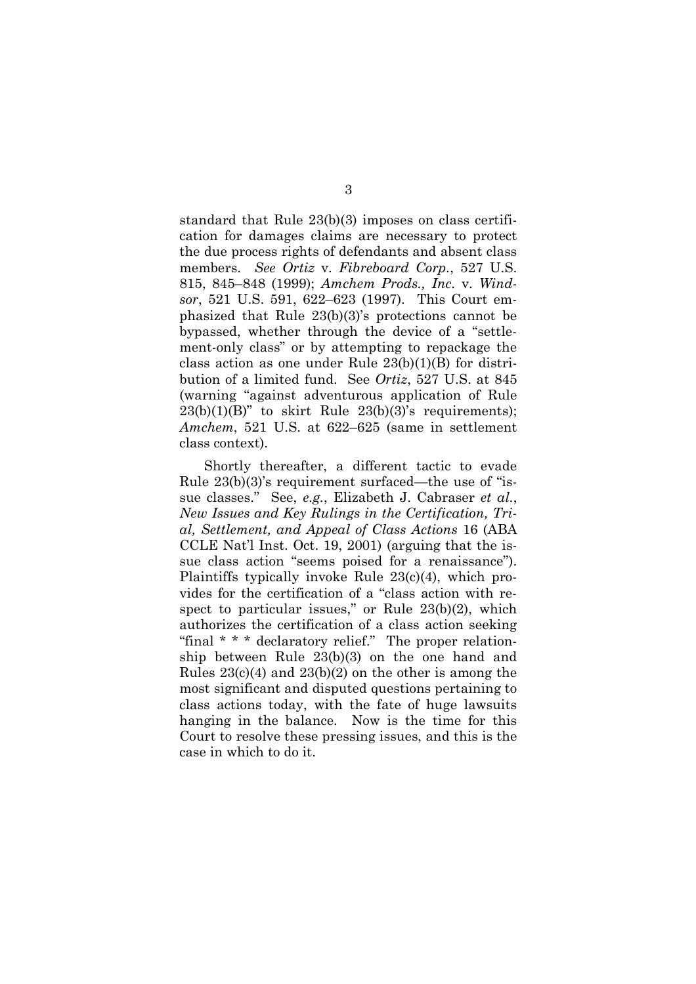standard that Rule 23(b)(3) imposes on class certification for damages claims are necessary to protect the due process rights of defendants and absent class members. *See Ortiz* v. *Fibreboard Corp.*, 527 U.S. 815, 845–848 (1999); *Amchem Prods., Inc.* v. *Windsor*, 521 U.S. 591, 622–623 (1997). This Court emphasized that Rule 23(b)(3)'s protections cannot be bypassed, whether through the device of a "settlement-only class" or by attempting to repackage the class action as one under Rule 23(b)(1)(B) for distribution of a limited fund. See *Ortiz*, 527 U.S. at 845 (warning "against adventurous application of Rule  $23(b)(1)(B)$ " to skirt Rule  $23(b)(3)$ 's requirements); *Amchem*, 521 U.S. at 622–625 (same in settlement class context).

Shortly thereafter, a different tactic to evade Rule 23(b)(3)'s requirement surfaced—the use of "issue classes." See, *e.g.*, Elizabeth J. Cabraser *et al.*, *New Issues and Key Rulings in the Certification, Trial, Settlement, and Appeal of Class Actions* 16 (ABA CCLE Nat'l Inst. Oct. 19, 2001) (arguing that the issue class action "seems poised for a renaissance"). Plaintiffs typically invoke Rule 23(c)(4), which provides for the certification of a "class action with respect to particular issues," or Rule 23(b)(2), which authorizes the certification of a class action seeking "final \* \* \* declaratory relief." The proper relationship between Rule 23(b)(3) on the one hand and Rules  $23(c)(4)$  and  $23(b)(2)$  on the other is among the most significant and disputed questions pertaining to class actions today, with the fate of huge lawsuits hanging in the balance. Now is the time for this Court to resolve these pressing issues, and this is the case in which to do it.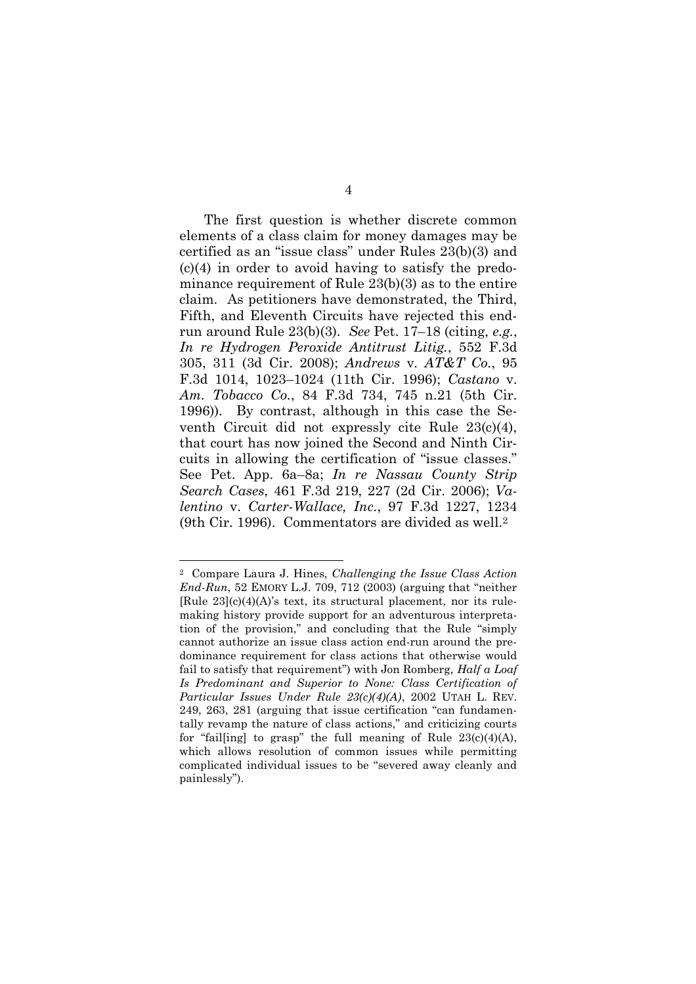The first question is whether discrete common elements of a class claim for money damages may be certified as an "issue class" under Rules 23(b)(3) and  $(c)(4)$  in order to avoid having to satisfy the predominance requirement of Rule 23(b)(3) as to the entire claim. As petitioners have demonstrated, the Third, Fifth, and Eleventh Circuits have rejected this endrun around Rule 23(b)(3). *See* Pet. 17–18 (citing, *e.g.*, *In re Hydrogen Peroxide Antitrust Litig.*, 552 F.3d 305, 311 (3d Cir. 2008); *Andrews* v. *AT&T Co.*, 95 F.3d 1014, 1023–1024 (11th Cir. 1996); *Castano* v. *Am. Tobacco Co.*, 84 F.3d 734, 745 n.21 (5th Cir. 1996)). By contrast, although in this case the Seventh Circuit did not expressly cite Rule 23(c)(4), that court has now joined the Second and Ninth Circuits in allowing the certification of "issue classes." See Pet. App. 6a–8a; *In re Nassau County Strip Search Cases*, 461 F.3d 219, 227 (2d Cir. 2006); *Valentino* v. *Carter-Wallace, Inc.*, 97 F.3d 1227, 1234 (9th Cir. 1996). Commentators are divided as well.<sup>2</sup>

<sup>2</sup> Compare Laura J. Hines, *Challenging the Issue Class Action End-Run*, 52 EMORY L.J. 709, 712 (2003) (arguing that "neither [Rule 23](c)(4)(A)'s text, its structural placement, nor its rulemaking history provide support for an adventurous interpretation of the provision," and concluding that the Rule "simply cannot authorize an issue class action end-run around the predominance requirement for class actions that otherwise would fail to satisfy that requirement") with Jon Romberg, *Half a Loaf Is Predominant and Superior to None: Class Certification of Particular Issues Under Rule 23(c)(4)(A)*, 2002 UTAH L. REV. 249, 263, 281 (arguing that issue certification "can fundamentally revamp the nature of class actions," and criticizing courts for "fail[ing] to grasp" the full meaning of Rule  $23(c)(4)(A)$ , which allows resolution of common issues while permitting complicated individual issues to be "severed away cleanly and painlessly").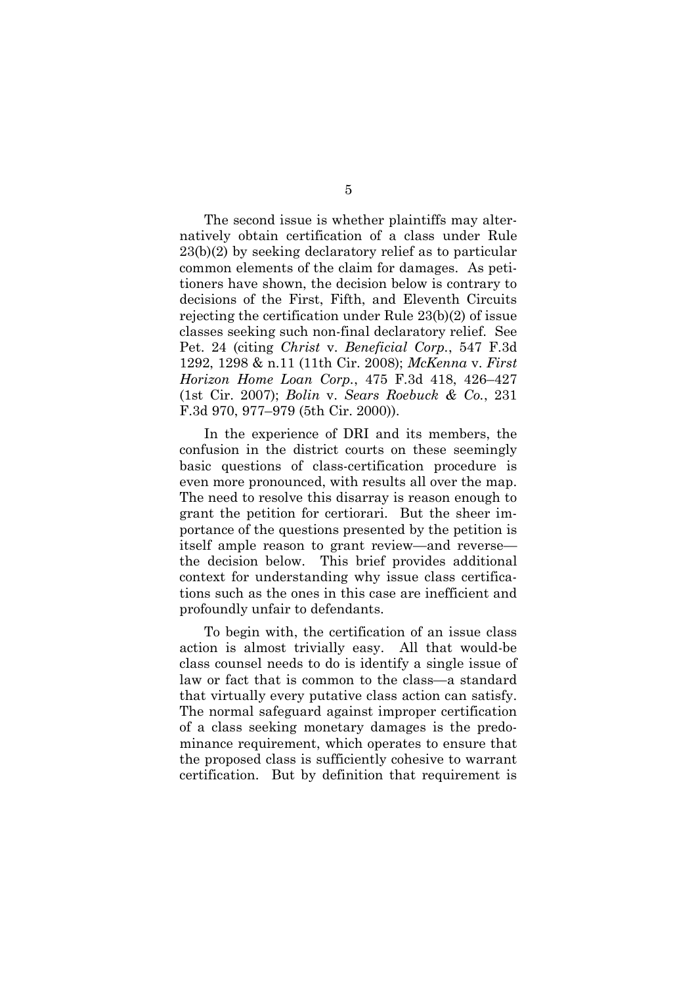The second issue is whether plaintiffs may alternatively obtain certification of a class under Rule 23(b)(2) by seeking declaratory relief as to particular common elements of the claim for damages. As petitioners have shown, the decision below is contrary to decisions of the First, Fifth, and Eleventh Circuits rejecting the certification under Rule 23(b)(2) of issue classes seeking such non-final declaratory relief. See Pet. 24 (citing *Christ* v. *Beneficial Corp.*, 547 F.3d 1292, 1298 & n.11 (11th Cir. 2008); *McKenna* v. *First Horizon Home Loan Corp.*, 475 F.3d 418, 426–427 (1st Cir. 2007); *Bolin* v. *Sears Roebuck & Co.*, 231 F.3d 970, 977–979 (5th Cir. 2000)).

In the experience of DRI and its members, the confusion in the district courts on these seemingly basic questions of class-certification procedure is even more pronounced, with results all over the map. The need to resolve this disarray is reason enough to grant the petition for certiorari. But the sheer importance of the questions presented by the petition is itself ample reason to grant review—and reverse the decision below. This brief provides additional context for understanding why issue class certifications such as the ones in this case are inefficient and profoundly unfair to defendants.

To begin with, the certification of an issue class action is almost trivially easy. All that would-be class counsel needs to do is identify a single issue of law or fact that is common to the class—a standard that virtually every putative class action can satisfy. The normal safeguard against improper certification of a class seeking monetary damages is the predominance requirement, which operates to ensure that the proposed class is sufficiently cohesive to warrant certification. But by definition that requirement is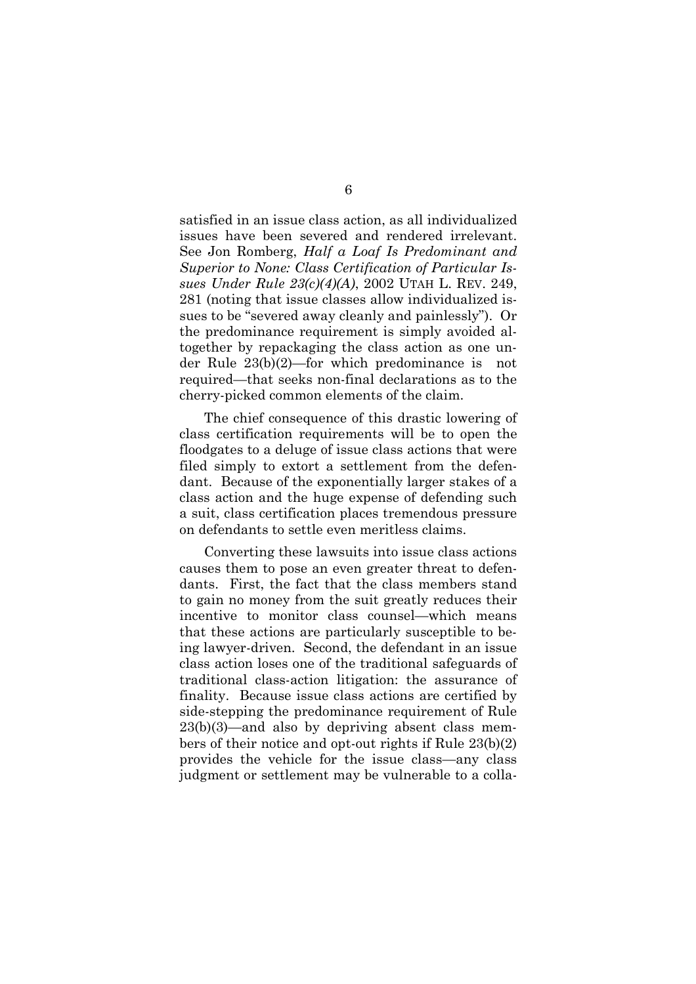satisfied in an issue class action, as all individualized issues have been severed and rendered irrelevant. See Jon Romberg, *Half a Loaf Is Predominant and Superior to None: Class Certification of Particular Issues Under Rule 23(c)(4)(A)*, 2002 UTAH L. REV. 249, 281 (noting that issue classes allow individualized issues to be "severed away cleanly and painlessly"). Or the predominance requirement is simply avoided altogether by repackaging the class action as one under Rule 23(b)(2)—for which predominance is not required—that seeks non-final declarations as to the cherry-picked common elements of the claim.

The chief consequence of this drastic lowering of class certification requirements will be to open the floodgates to a deluge of issue class actions that were filed simply to extort a settlement from the defendant. Because of the exponentially larger stakes of a class action and the huge expense of defending such a suit, class certification places tremendous pressure on defendants to settle even meritless claims.

Converting these lawsuits into issue class actions causes them to pose an even greater threat to defendants. First, the fact that the class members stand to gain no money from the suit greatly reduces their incentive to monitor class counsel—which means that these actions are particularly susceptible to being lawyer-driven. Second, the defendant in an issue class action loses one of the traditional safeguards of traditional class-action litigation: the assurance of finality. Because issue class actions are certified by side-stepping the predominance requirement of Rule  $23(b)(3)$ —and also by depriving absent class members of their notice and opt-out rights if Rule 23(b)(2) provides the vehicle for the issue class—any class judgment or settlement may be vulnerable to a colla-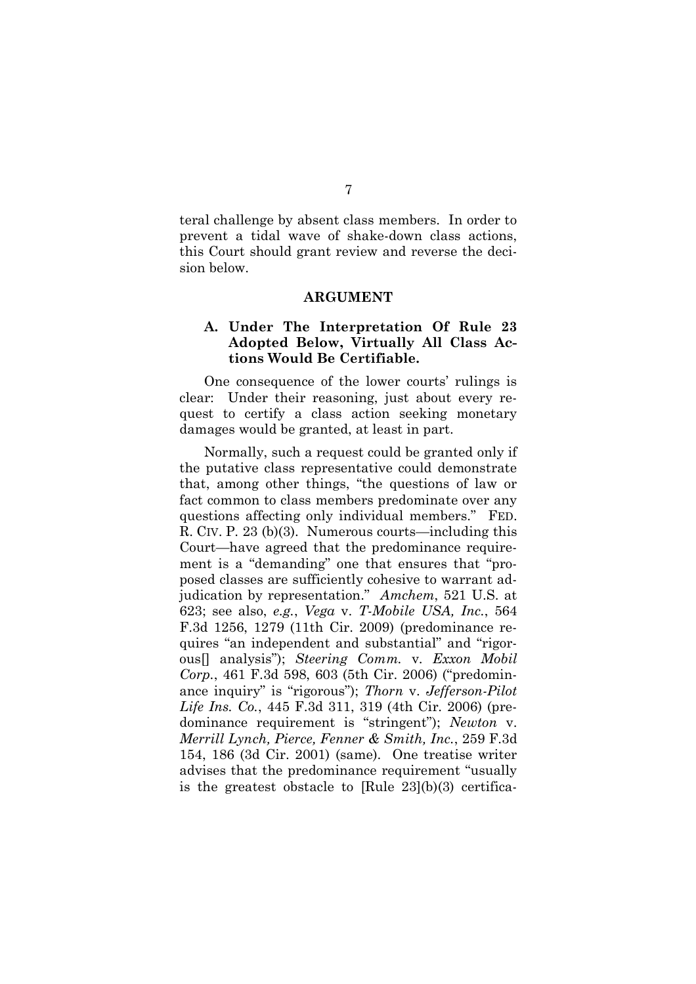teral challenge by absent class members. In order to prevent a tidal wave of shake-down class actions, this Court should grant review and reverse the decision below.

#### **ARGUMENT**

### **A. Under The Interpretation Of Rule 23 Adopted Below, Virtually All Class Actions Would Be Certifiable.**

One consequence of the lower courts' rulings is clear: Under their reasoning, just about every request to certify a class action seeking monetary damages would be granted, at least in part.

Normally, such a request could be granted only if the putative class representative could demonstrate that, among other things, "the questions of law or fact common to class members predominate over any questions affecting only individual members." FED. R. CIV. P. 23 (b)(3). Numerous courts—including this Court—have agreed that the predominance requirement is a "demanding" one that ensures that "proposed classes are sufficiently cohesive to warrant adjudication by representation." *Amchem*, 521 U.S. at 623; see also, *e.g.*, *Vega* v. *T-Mobile USA, Inc.*, 564 F.3d 1256, 1279 (11th Cir. 2009) (predominance requires "an independent and substantial" and "rigorous[] analysis"); *Steering Comm.* v. *Exxon Mobil Corp.*, 461 F.3d 598, 603 (5th Cir. 2006) ("predominance inquiry" is "rigorous"); *Thorn* v. *Jefferson-Pilot Life Ins. Co.*, 445 F.3d 311, 319 (4th Cir. 2006) (predominance requirement is "stringent"); *Newton* v. *Merrill Lynch, Pierce, Fenner & Smith, Inc.*, 259 F.3d 154, 186 (3d Cir. 2001) (same). One treatise writer advises that the predominance requirement "usually is the greatest obstacle to [Rule 23](b)(3) certifica-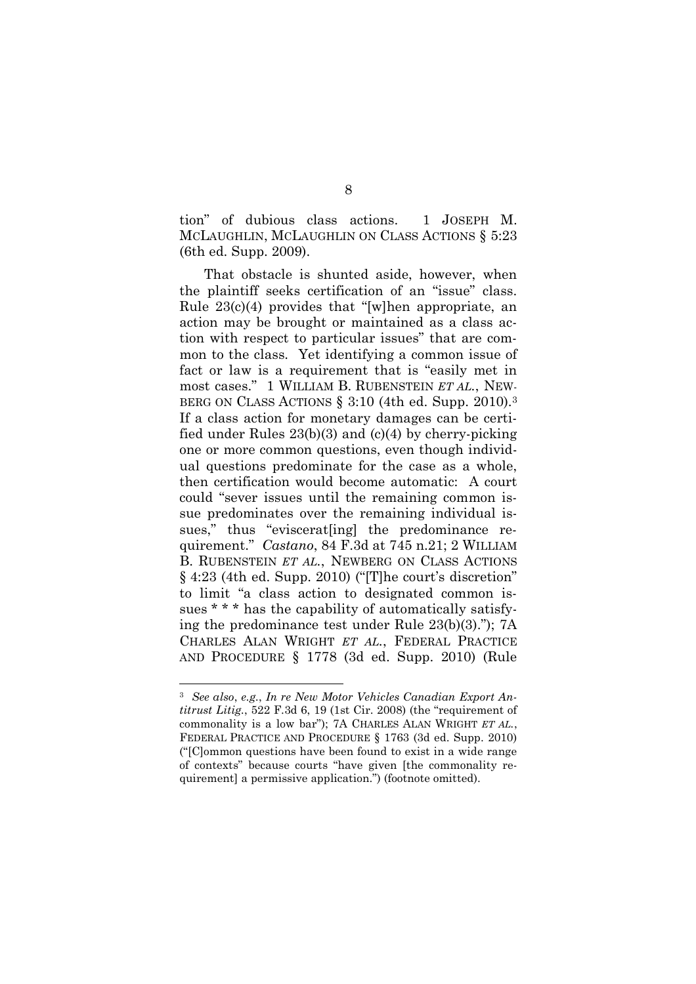tion" of dubious class actions. 1 JOSEPH M. MCLAUGHLIN, MCLAUGHLIN ON CLASS ACTIONS § 5:23 (6th ed. Supp. 2009).

That obstacle is shunted aside, however, when the plaintiff seeks certification of an "issue" class. Rule 23(c)(4) provides that "[w]hen appropriate, an action may be brought or maintained as a class action with respect to particular issues" that are common to the class. Yet identifying a common issue of fact or law is a requirement that is "easily met in most cases." 1 WILLIAM B. RUBENSTEIN *ET AL.*, NEW-BERG ON CLASS ACTIONS § 3:10 (4th ed. Supp. 2010).<sup>3</sup> If a class action for monetary damages can be certified under Rules  $23(b)(3)$  and  $(c)(4)$  by cherry-picking one or more common questions, even though individual questions predominate for the case as a whole, then certification would become automatic: A court could "sever issues until the remaining common issue predominates over the remaining individual issues," thus "eviscerat[ing] the predominance requirement." *Castano*, 84 F.3d at 745 n.21; 2 WILLIAM B. RUBENSTEIN *ET AL.*, NEWBERG ON CLASS ACTIONS § 4:23 (4th ed. Supp. 2010) ("[T]he court's discretion" to limit "a class action to designated common issues \* \* \* has the capability of automatically satisfying the predominance test under Rule 23(b)(3)."); 7A CHARLES ALAN WRIGHT *ET AL.*, FEDERAL PRACTICE AND PROCEDURE § 1778 (3d ed. Supp. 2010) (Rule

<sup>3</sup> *See also*, *e.g.*, *In re New Motor Vehicles Canadian Export Antitrust Litig.*, 522 F.3d 6, 19 (1st Cir. 2008) (the "requirement of commonality is a low bar"); 7A CHARLES ALAN WRIGHT *ET AL.*, FEDERAL PRACTICE AND PROCEDURE § 1763 (3d ed. Supp. 2010) ("[C]ommon questions have been found to exist in a wide range of contexts" because courts "have given [the commonality requirement] a permissive application.") (footnote omitted).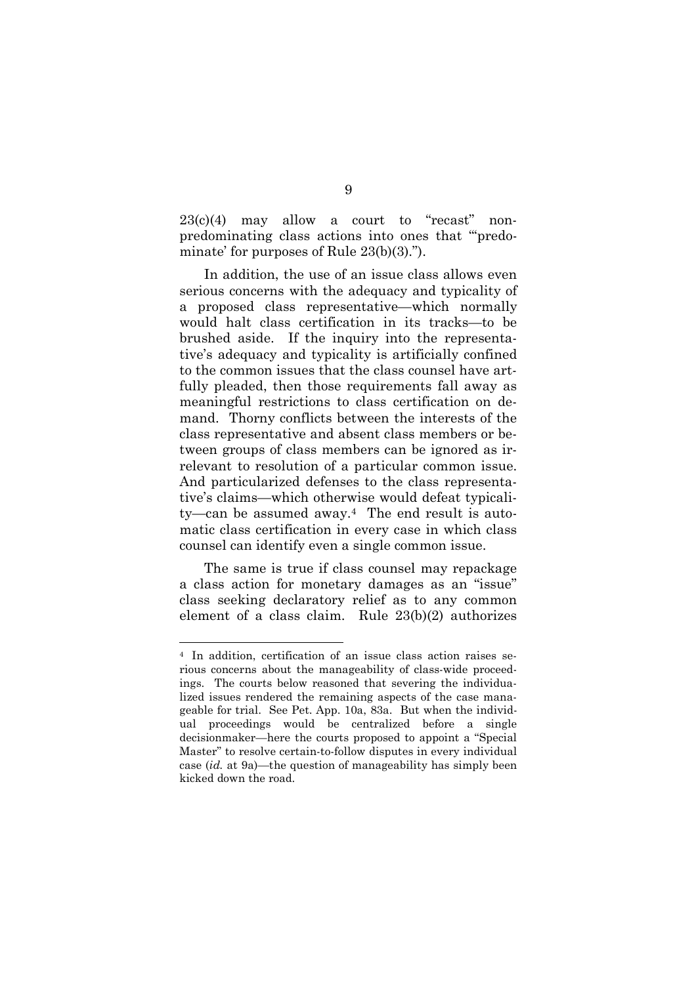$23(c)(4)$  may allow a court to "recast" nonpredominating class actions into ones that "'predominate' for purposes of Rule 23(b)(3).").

In addition, the use of an issue class allows even serious concerns with the adequacy and typicality of a proposed class representative—which normally would halt class certification in its tracks—to be brushed aside. If the inquiry into the representative's adequacy and typicality is artificially confined to the common issues that the class counsel have artfully pleaded, then those requirements fall away as meaningful restrictions to class certification on demand. Thorny conflicts between the interests of the class representative and absent class members or between groups of class members can be ignored as irrelevant to resolution of a particular common issue. And particularized defenses to the class representative's claims—which otherwise would defeat typicality—can be assumed away.<sup>4</sup> The end result is automatic class certification in every case in which class counsel can identify even a single common issue.

The same is true if class counsel may repackage a class action for monetary damages as an "issue" class seeking declaratory relief as to any common element of a class claim. Rule 23(b)(2) authorizes

<sup>4</sup> In addition, certification of an issue class action raises serious concerns about the manageability of class-wide proceedings. The courts below reasoned that severing the individualized issues rendered the remaining aspects of the case manageable for trial. See Pet. App. 10a, 83a. But when the individual proceedings would be centralized before a single decisionmaker—here the courts proposed to appoint a "Special Master" to resolve certain-to-follow disputes in every individual case (*id.* at 9a)—the question of manageability has simply been kicked down the road.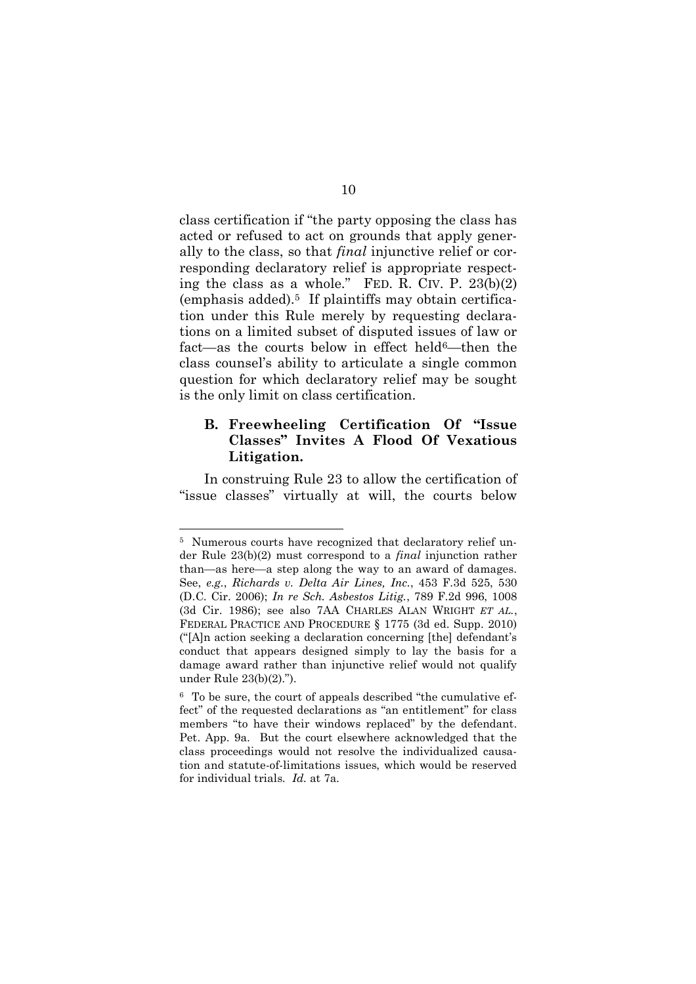class certification if "the party opposing the class has acted or refused to act on grounds that apply generally to the class, so that *final* injunctive relief or corresponding declaratory relief is appropriate respecting the class as a whole." FED. R. CIV. P. 23(b)(2) (emphasis added).<sup>5</sup> If plaintiffs may obtain certification under this Rule merely by requesting declarations on a limited subset of disputed issues of law or fact—as the courts below in effect held6—then the class counsel's ability to articulate a single common question for which declaratory relief may be sought is the only limit on class certification.

### **B. Freewheeling Certification Of "Issue Classes" Invites A Flood Of Vexatious Litigation.**

In construing Rule 23 to allow the certification of "issue classes" virtually at will, the courts below

<sup>&</sup>lt;sup>5</sup> Numerous courts have recognized that declaratory relief under Rule 23(b)(2) must correspond to a *final* injunction rather than—as here—a step along the way to an award of damages. See, *e.g.*, *Richards v. Delta Air Lines, Inc.*, 453 F.3d 525, 530 (D.C. Cir. 2006); *In re Sch. Asbestos Litig.*, 789 F.2d 996, 1008 (3d Cir. 1986); see also 7AA CHARLES ALAN WRIGHT *ET AL.*, FEDERAL PRACTICE AND PROCEDURE § 1775 (3d ed. Supp. 2010) ("[A]n action seeking a declaration concerning [the] defendant's conduct that appears designed simply to lay the basis for a damage award rather than injunctive relief would not qualify under Rule 23(b)(2).").

<sup>6</sup> To be sure, the court of appeals described "the cumulative effect" of the requested declarations as "an entitlement" for class members "to have their windows replaced" by the defendant. Pet. App. 9a. But the court elsewhere acknowledged that the class proceedings would not resolve the individualized causation and statute-of-limitations issues, which would be reserved for individual trials. *Id.* at 7a.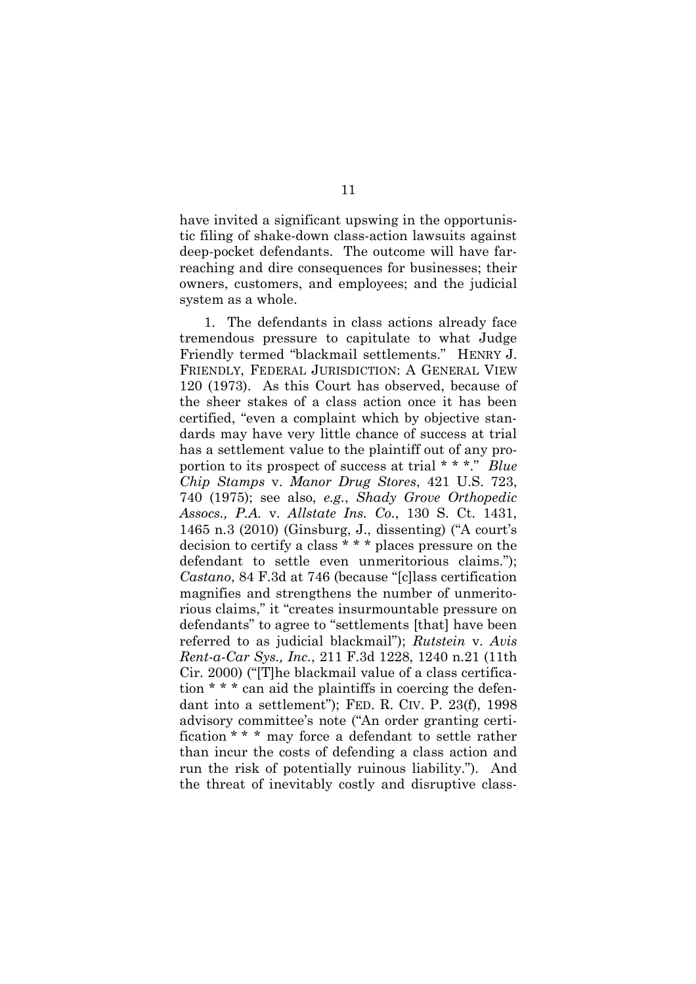have invited a significant upswing in the opportunistic filing of shake-down class-action lawsuits against deep-pocket defendants. The outcome will have farreaching and dire consequences for businesses; their owners, customers, and employees; and the judicial system as a whole.

1. The defendants in class actions already face tremendous pressure to capitulate to what Judge Friendly termed "blackmail settlements." HENRY J. FRIENDLY, FEDERAL JURISDICTION: A GENERAL VIEW 120 (1973). As this Court has observed, because of the sheer stakes of a class action once it has been certified, "even a complaint which by objective standards may have very little chance of success at trial has a settlement value to the plaintiff out of any proportion to its prospect of success at trial \* \* \*." *Blue Chip Stamps* v. *Manor Drug Stores*, 421 U.S. 723, 740 (1975); see also, *e.g.*, *Shady Grove Orthopedic Assocs., P.A.* v. *Allstate Ins. Co.*, 130 S. Ct. 1431, 1465 n.3 (2010) (Ginsburg, J., dissenting) ("A court's decision to certify a class \* \* \* places pressure on the defendant to settle even unmeritorious claims."); *Castano*, 84 F.3d at 746 (because "[c]lass certification magnifies and strengthens the number of unmeritorious claims," it "creates insurmountable pressure on defendants" to agree to "settlements [that] have been referred to as judicial blackmail"); *Rutstein* v. *Avis Rent-a-Car Sys., Inc.*, 211 F.3d 1228, 1240 n.21 (11th Cir. 2000) ("[T]he blackmail value of a class certification \* \* \* can aid the plaintiffs in coercing the defendant into a settlement"); FED. R. CIV. P. 23(f), 1998 advisory committee's note ("An order granting certification \* \* \* may force a defendant to settle rather than incur the costs of defending a class action and run the risk of potentially ruinous liability."). And the threat of inevitably costly and disruptive class-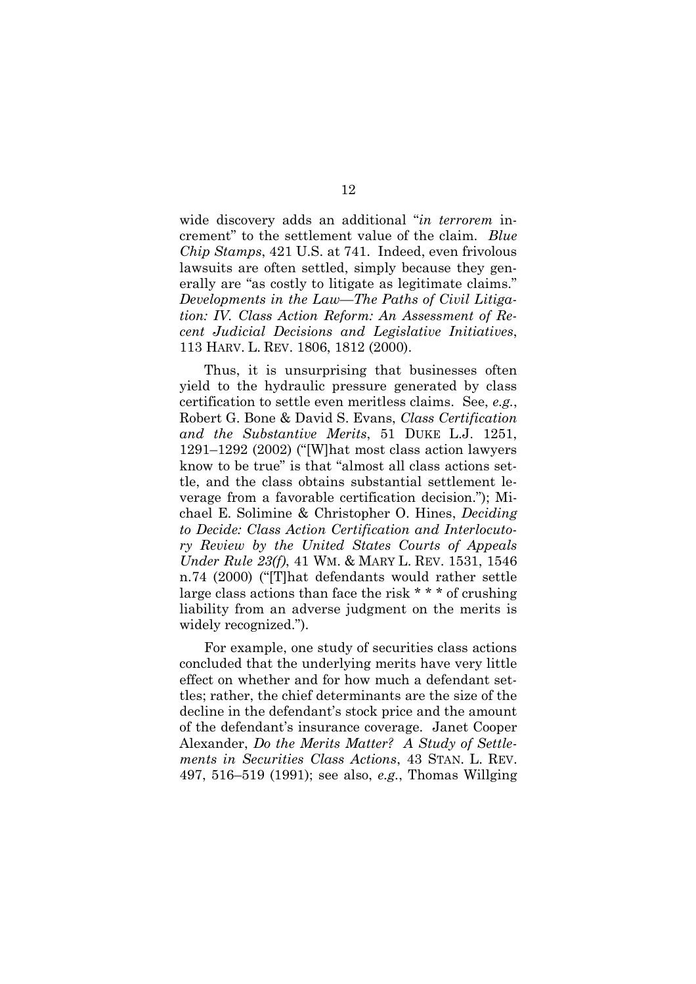wide discovery adds an additional "*in terrorem* increment" to the settlement value of the claim. *Blue Chip Stamps*, 421 U.S. at 741. Indeed, even frivolous lawsuits are often settled, simply because they generally are "as costly to litigate as legitimate claims." *Developments in the Law—The Paths of Civil Litigation: IV. Class Action Reform: An Assessment of Recent Judicial Decisions and Legislative Initiatives*, 113 HARV. L. REV. 1806, 1812 (2000).

Thus, it is unsurprising that businesses often yield to the hydraulic pressure generated by class certification to settle even meritless claims. See, *e.g.*, Robert G. Bone & David S. Evans, *Class Certification and the Substantive Merits*, 51 DUKE L.J. 1251, 1291–1292 (2002) ("[W]hat most class action lawyers know to be true" is that "almost all class actions settle, and the class obtains substantial settlement leverage from a favorable certification decision."); Michael E. Solimine & Christopher O. Hines, *Deciding to Decide: Class Action Certification and Interlocutory Review by the United States Courts of Appeals Under Rule 23(f)*, 41 WM. & MARY L. REV. 1531, 1546 n.74 (2000) ("[T]hat defendants would rather settle large class actions than face the risk \* \* \* of crushing liability from an adverse judgment on the merits is widely recognized.").

For example, one study of securities class actions concluded that the underlying merits have very little effect on whether and for how much a defendant settles; rather, the chief determinants are the size of the decline in the defendant's stock price and the amount of the defendant's insurance coverage. Janet Cooper Alexander, *Do the Merits Matter? A Study of Settlements in Securities Class Actions*, 43 STAN. L. REV. 497, 516–519 (1991); see also, *e.g.*, Thomas Willging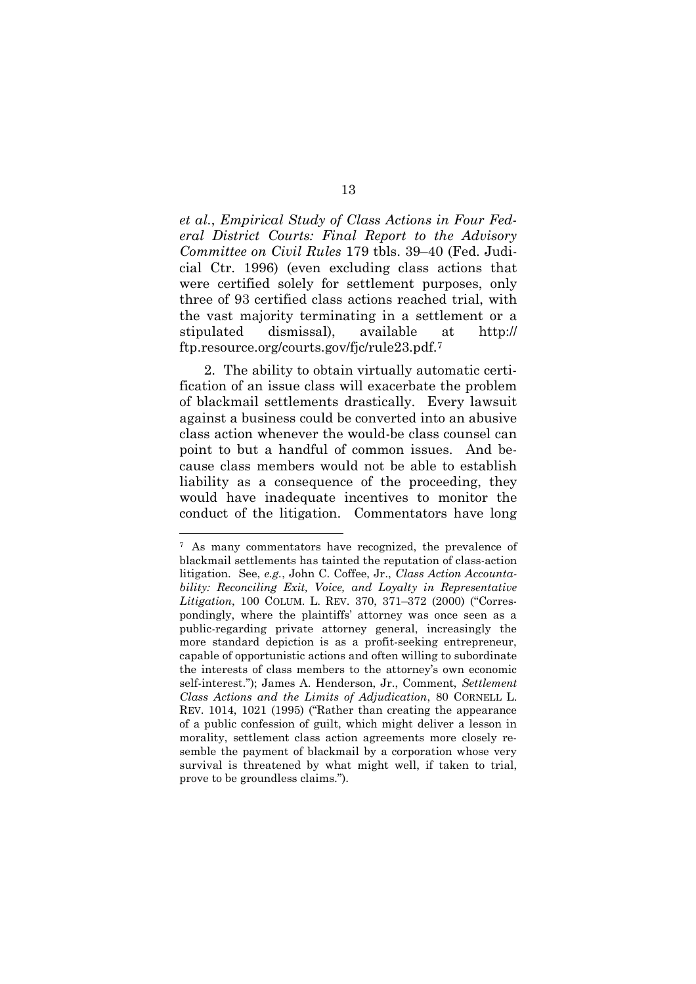*et al.*, *Empirical Study of Class Actions in Four Federal District Courts: Final Report to the Advisory Committee on Civil Rules* 179 tbls. 39–40 (Fed. Judicial Ctr. 1996) (even excluding class actions that were certified solely for settlement purposes, only three of 93 certified class actions reached trial, with the vast majority terminating in a settlement or a stipulated dismissal), available at http:// ftp.resource.org/courts.gov/fjc/rule23.pdf.<sup>7</sup>

2. The ability to obtain virtually automatic certification of an issue class will exacerbate the problem of blackmail settlements drastically. Every lawsuit against a business could be converted into an abusive class action whenever the would-be class counsel can point to but a handful of common issues. And because class members would not be able to establish liability as a consequence of the proceeding, they would have inadequate incentives to monitor the conduct of the litigation. Commentators have long

<sup>7</sup> As many commentators have recognized, the prevalence of blackmail settlements has tainted the reputation of class-action litigation. See, *e.g.*, John C. Coffee, Jr., *Class Action Accountability: Reconciling Exit, Voice, and Loyalty in Representative Litigation*, 100 COLUM. L. REV. 370, 371–372 (2000) ("Correspondingly, where the plaintiffs' attorney was once seen as a public-regarding private attorney general, increasingly the more standard depiction is as a profit-seeking entrepreneur, capable of opportunistic actions and often willing to subordinate the interests of class members to the attorney's own economic self-interest."); James A. Henderson, Jr., Comment, *Settlement Class Actions and the Limits of Adjudication*, 80 CORNELL L. REV. 1014, 1021 (1995) ("Rather than creating the appearance of a public confession of guilt, which might deliver a lesson in morality, settlement class action agreements more closely resemble the payment of blackmail by a corporation whose very survival is threatened by what might well, if taken to trial, prove to be groundless claims.").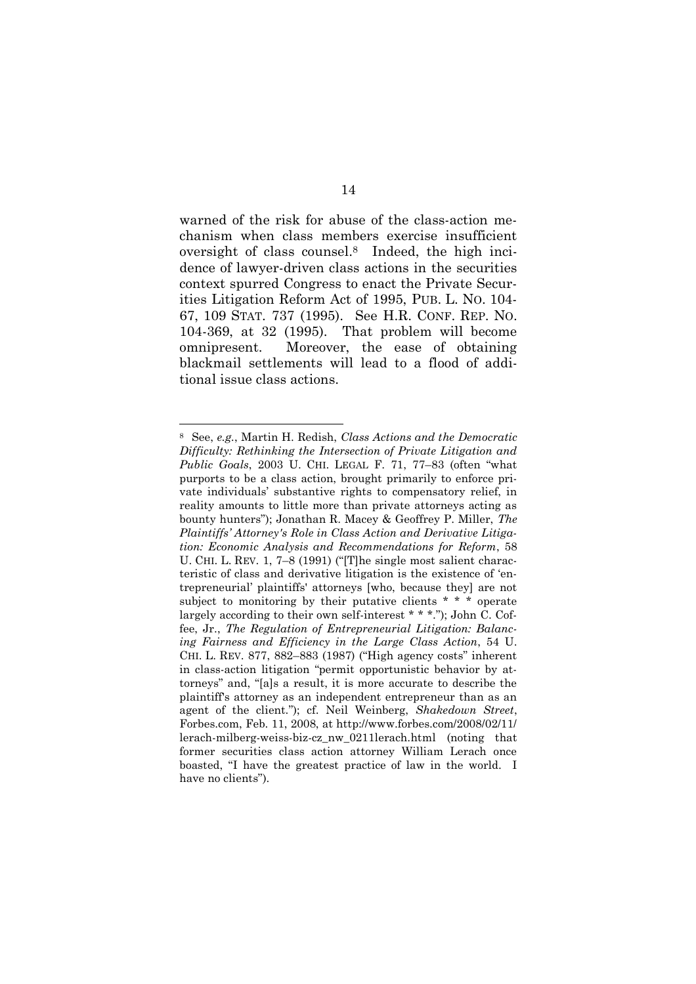warned of the risk for abuse of the class-action mechanism when class members exercise insufficient oversight of class counsel.<sup>8</sup> Indeed, the high incidence of lawyer-driven class actions in the securities context spurred Congress to enact the Private Securities Litigation Reform Act of 1995, PUB. L. NO. 104- 67, 109 STAT. 737 (1995). See H.R. CONF. REP. NO. 104-369, at 32 (1995). That problem will become omnipresent. Moreover, the ease of obtaining blackmail settlements will lead to a flood of additional issue class actions.

<sup>8</sup> See, *e.g.*, Martin H. Redish, *Class Actions and the Democratic Difficulty: Rethinking the Intersection of Private Litigation and Public Goals*, 2003 U. CHI. LEGAL F. 71, 77–83 (often "what purports to be a class action, brought primarily to enforce private individuals' substantive rights to compensatory relief, in reality amounts to little more than private attorneys acting as bounty hunters"); Jonathan R. Macey & Geoffrey P. Miller, *The Plaintiffs' Attorney's Role in Class Action and Derivative Litigation: Economic Analysis and Recommendations for Reform*, 58 U. CHI. L. REV. 1, 7–8 (1991) ("[T]he single most salient characteristic of class and derivative litigation is the existence of 'entrepreneurial' plaintiffs' attorneys [who, because they] are not subject to monitoring by their putative clients \* \* \* operate largely according to their own self-interest \* \* \*."); John C. Coffee, Jr., *The Regulation of Entrepreneurial Litigation: Balancing Fairness and Efficiency in the Large Class Action*, 54 U. CHI. L. REV. 877, 882–883 (1987) ("High agency costs" inherent in class-action litigation "permit opportunistic behavior by attorneys" and, "[a]s a result, it is more accurate to describe the plaintiff's attorney as an independent entrepreneur than as an agent of the client."); cf. Neil Weinberg, *Shakedown Street*, Forbes.com, Feb. 11, 2008, at http://www.forbes.com/2008/02/11/ lerach-milberg-weiss-biz-cz\_nw\_0211lerach.html (noting that former securities class action attorney William Lerach once boasted, "I have the greatest practice of law in the world. I have no clients").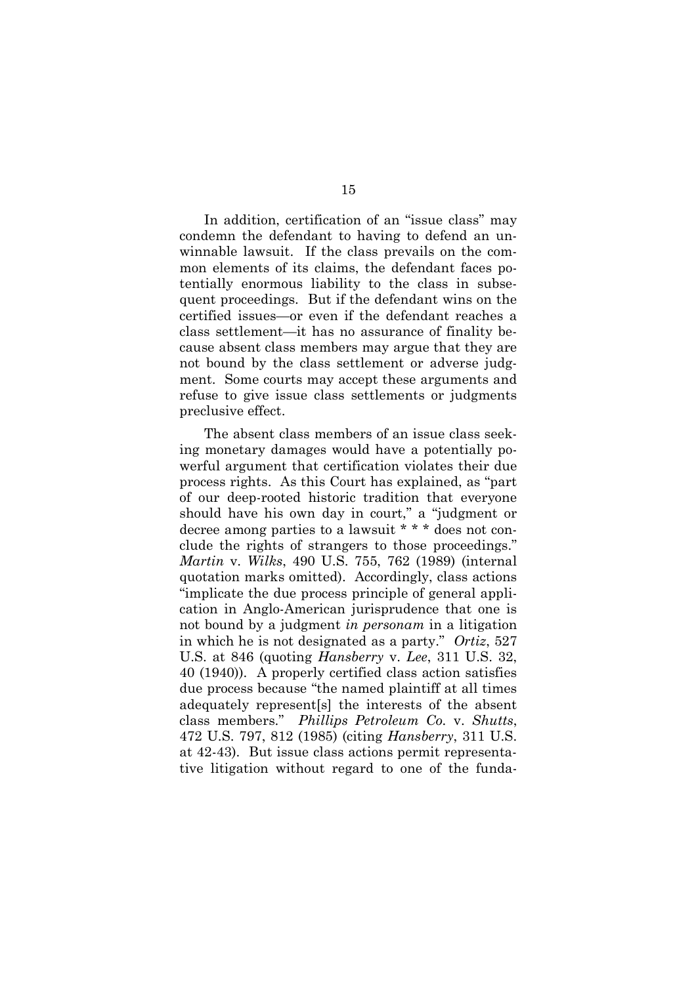In addition, certification of an "issue class" may condemn the defendant to having to defend an unwinnable lawsuit. If the class prevails on the common elements of its claims, the defendant faces potentially enormous liability to the class in subsequent proceedings. But if the defendant wins on the certified issues—or even if the defendant reaches a class settlement—it has no assurance of finality because absent class members may argue that they are not bound by the class settlement or adverse judgment. Some courts may accept these arguments and refuse to give issue class settlements or judgments preclusive effect.

The absent class members of an issue class seeking monetary damages would have a potentially powerful argument that certification violates their due process rights. As this Court has explained, as "part of our deep-rooted historic tradition that everyone should have his own day in court," a "judgment or decree among parties to a lawsuit \* \* \* does not conclude the rights of strangers to those proceedings." *Martin* v. *Wilks*, 490 U.S. 755, 762 (1989) (internal quotation marks omitted). Accordingly, class actions "implicate the due process principle of general application in Anglo-American jurisprudence that one is not bound by a judgment *in personam* in a litigation in which he is not designated as a party." *Ortiz*, 527 U.S. at 846 (quoting *Hansberry* v. *Lee*, 311 U.S. 32, 40 (1940)). A properly certified class action satisfies due process because "the named plaintiff at all times adequately represent[s] the interests of the absent class members." *Phillips Petroleum Co.* v. *Shutts*, 472 U.S. 797, 812 (1985) (citing *Hansberry*, 311 U.S. at 42-43). But issue class actions permit representative litigation without regard to one of the funda-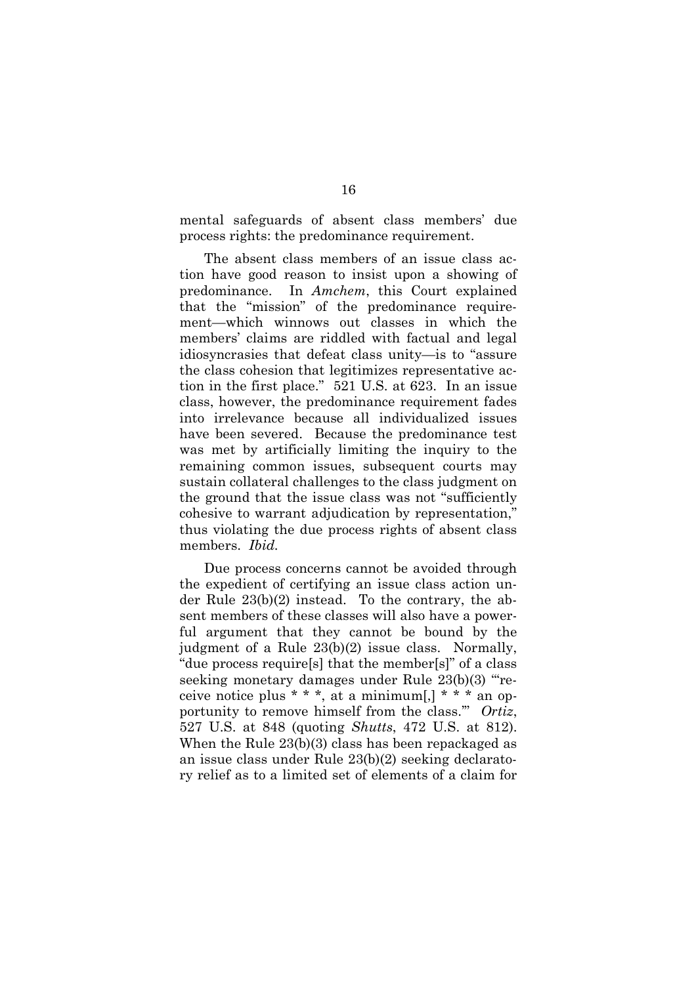mental safeguards of absent class members' due process rights: the predominance requirement.

The absent class members of an issue class action have good reason to insist upon a showing of predominance. In *Amchem*, this Court explained that the "mission" of the predominance requirement—which winnows out classes in which the members' claims are riddled with factual and legal idiosyncrasies that defeat class unity—is to "assure the class cohesion that legitimizes representative action in the first place." 521 U.S. at 623. In an issue class, however, the predominance requirement fades into irrelevance because all individualized issues have been severed. Because the predominance test was met by artificially limiting the inquiry to the remaining common issues, subsequent courts may sustain collateral challenges to the class judgment on the ground that the issue class was not "sufficiently cohesive to warrant adjudication by representation," thus violating the due process rights of absent class members. *Ibid.*

Due process concerns cannot be avoided through the expedient of certifying an issue class action under Rule 23(b)(2) instead. To the contrary, the absent members of these classes will also have a powerful argument that they cannot be bound by the judgment of a Rule 23(b)(2) issue class. Normally, "due process require[s] that the member[s]" of a class seeking monetary damages under Rule 23(b)(3) "'receive notice plus  $* * *$ , at a minimum[,]  $* * *$  an opportunity to remove himself from the class.'" *Ortiz*, 527 U.S. at 848 (quoting *Shutts*, 472 U.S. at 812). When the Rule 23(b)(3) class has been repackaged as an issue class under Rule 23(b)(2) seeking declaratory relief as to a limited set of elements of a claim for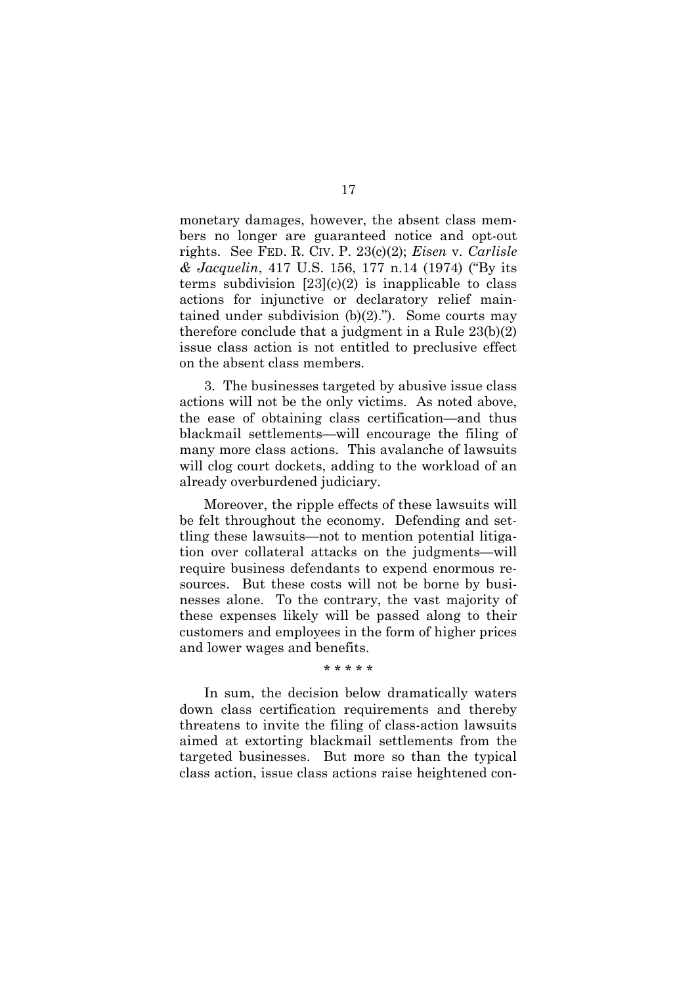monetary damages, however, the absent class members no longer are guaranteed notice and opt-out rights. See FED. R. CIV. P. 23(c)(2); *Eisen* v. *Carlisle & Jacquelin*, 417 U.S. 156, 177 n.14 (1974) ("By its terms subdivision  $[23](c)(2)$  is inapplicable to class actions for injunctive or declaratory relief maintained under subdivision  $(b)(2)$ ."). Some courts may therefore conclude that a judgment in a Rule 23(b)(2) issue class action is not entitled to preclusive effect on the absent class members.

3. The businesses targeted by abusive issue class actions will not be the only victims. As noted above, the ease of obtaining class certification—and thus blackmail settlements—will encourage the filing of many more class actions. This avalanche of lawsuits will clog court dockets, adding to the workload of an already overburdened judiciary.

Moreover, the ripple effects of these lawsuits will be felt throughout the economy. Defending and settling these lawsuits—not to mention potential litigation over collateral attacks on the judgments—will require business defendants to expend enormous resources. But these costs will not be borne by businesses alone. To the contrary, the vast majority of these expenses likely will be passed along to their customers and employees in the form of higher prices and lower wages and benefits.

\* \* \* \* \*

In sum, the decision below dramatically waters down class certification requirements and thereby threatens to invite the filing of class-action lawsuits aimed at extorting blackmail settlements from the targeted businesses. But more so than the typical class action, issue class actions raise heightened con-